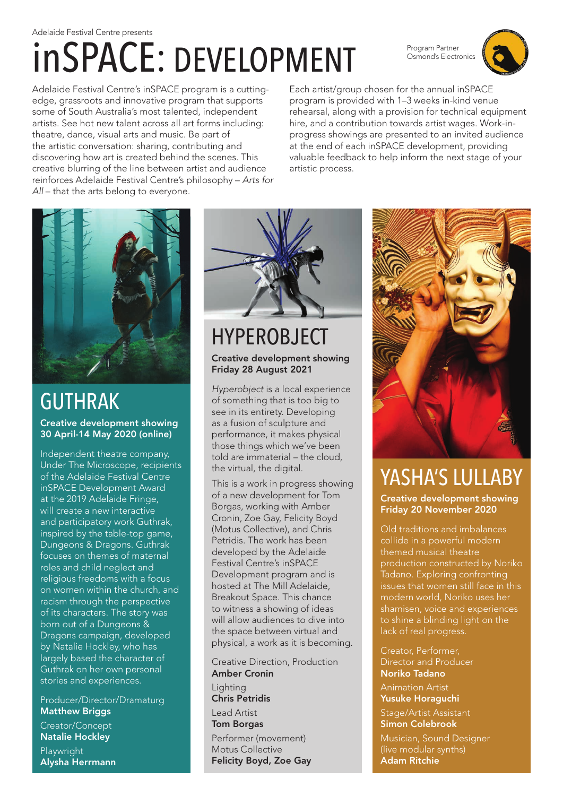# inSPACE: DEVELOPMENT

Program Partner Osmond's Electronics



Adelaide Festival Centre's inSPACE program is a cuttingedge, grassroots and innovative program that supports some of South Australia's most talented, independent artists. See hot new talent across all art forms including: theatre, dance, visual arts and music. Be part of the artistic conversation: sharing, contributing and discovering how art is created behind the scenes. This creative blurring of the line between artist and audience reinforces Adelaide Festival Centre's philosophy – *Arts for All* – that the arts belong to everyone.

Each artist/group chosen for the annual inSPACE program is provided with 1–3 weeks in-kind venue rehearsal, along with a provision for technical equipment hire, and a contribution towards artist wages. Work-inprogress showings are presented to an invited audience at the end of each inSPACE development, providing valuable feedback to help inform the next stage of your artistic process.



### GUTHRAK

Creative development showing 30 April-14 May 2020 (online)

Independent theatre company, Under The Microscope, recipients of the Adelaide Festival Centre inSPACE Development Award at the 2019 Adelaide Fringe, will create a new interactive and participatory work Guthrak, inspired by the table-top game, Dungeons & Dragons. Guthrak focuses on themes of maternal roles and child neglect and religious freedoms with a focus on women within the church, and racism through the perspective of its characters. The story was born out of a Dungeons & Dragons campaign, developed by Natalie Hockley, who has largely based the character of Guthrak on her own personal stories and experiences.

Producer/Director/Dramaturg **Matthew Briggs** Creator/Concept Natalie Hockley Playwright Alysha Herrmann



#### HYPEROBJECT Creative development showing Friday 28 August 2021

*Hyperobject* is a local experience of something that is too big to see in its entirety. Developing as a fusion of sculpture and performance, it makes physical those things which we've been told are immaterial – the cloud, the virtual, the digital.

This is a work in progress showing of a new development for Tom Borgas, working with Amber Cronin, Zoe Gay, Felicity Boyd (Motus Collective), and Chris Petridis. The work has been developed by the Adelaide Festival Centre's inSPACE Development program and is hosted at The Mill Adelaide, Breakout Space. This chance to witness a showing of ideas will allow audiences to dive into the space between virtual and physical, a work as it is becoming.

Creative Direction, Production Amber Cronin **Lighting** Chris Petridis Lead Artist Tom Borgas Performer (movement) Motus Collective Felicity Boyd, Zoe Gay



### YASHA'S LULLABY

Creative development showing Friday 20 November 2020

Old traditions and imbalances collide in a powerful modern themed musical theatre production constructed by Noriko Tadano. Exploring confronting issues that women still face in this modern world, Noriko uses her shamisen, voice and experiences to shine a blinding light on the lack of real progress.

Creator, Performer, Director and Producer Noriko Tadano Animation Artist Yusuke Horaguchi Stage/Artist Assistant Simon Colebrook Musician, Sound Designer (live modular synths) Adam Ritchie